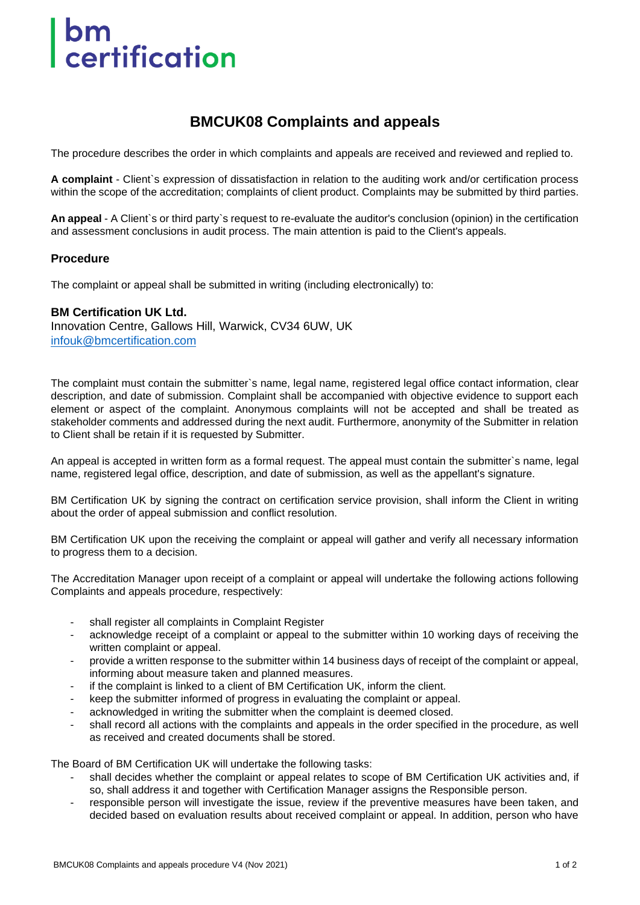# bm <u>om</u><br>certification

### **BMCUK08 Complaints and appeals**

The procedure describes the order in which complaints and appeals are received and reviewed and replied to.

**A complaint** - Client`s expression of dissatisfaction in relation to the auditing work and/or certification process within the scope of the accreditation; complaints of client product. Complaints may be submitted by third parties.

**An appeal** - A Client`s or third party`s request to re-evaluate the auditor's conclusion (opinion) in the certification and assessment conclusions in audit process. The main attention is paid to the Client's appeals.

#### **Procedure**

The complaint or appeal shall be submitted in writing (including electronically) to:

#### **BM Certification UK Ltd.**

Innovation Centre, Gallows Hill, Warwick, CV34 6UW, UK [infouk@bmcertification.com](mailto:infouk@bmcertification.com)

The complaint must contain the submitter`s name, legal name, registered legal office contact information, clear description, and date of submission. Complaint shall be accompanied with objective evidence to support each element or aspect of the complaint. Anonymous complaints will not be accepted and shall be treated as stakeholder comments and addressed during the next audit. Furthermore, anonymity of the Submitter in relation to Client shall be retain if it is requested by Submitter.

An appeal is accepted in written form as a formal request. The appeal must contain the submitter`s name, legal name, registered legal office, description, and date of submission, as well as the appellant's signature.

BM Certification UK by signing the contract on certification service provision, shall inform the Client in writing about the order of appeal submission and conflict resolution.

BM Certification UK upon the receiving the complaint or appeal will gather and verify all necessary information to progress them to a decision.

The Accreditation Manager upon receipt of a complaint or appeal will undertake the following actions following Complaints and appeals procedure, respectively:

- shall register all complaints in Complaint Register
- acknowledge receipt of a complaint or appeal to the submitter within 10 working days of receiving the written complaint or appeal.
- provide a written response to the submitter within 14 business days of receipt of the complaint or appeal, informing about measure taken and planned measures.
- if the complaint is linked to a client of BM Certification UK, inform the client.
- keep the submitter informed of progress in evaluating the complaint or appeal.
- acknowledged in writing the submitter when the complaint is deemed closed.
- shall record all actions with the complaints and appeals in the order specified in the procedure, as well as received and created documents shall be stored.

The Board of BM Certification UK will undertake the following tasks:

- shall decides whether the complaint or appeal relates to scope of BM Certification UK activities and, if so, shall address it and together with Certification Manager assigns the Responsible person.
- responsible person will investigate the issue, review if the preventive measures have been taken, and decided based on evaluation results about received complaint or appeal. In addition, person who have